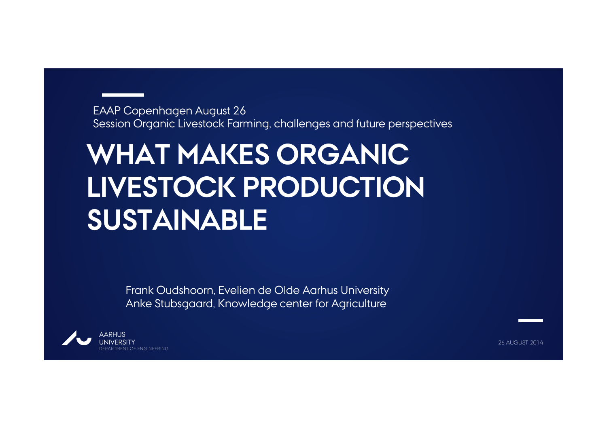EAAP Copenhagen August 26 Session Organic Livestock Farming, challenges and future perspectives

# **WHAT MAKES ORGANIC LIVESTOCK PRODUCTION SUSTAINABLE**

Frank Oudshoorn, Evelien de Olde Aarhus University Anke Stubsgaard, Knowledge center for Agriculture



26 AUGUST 2014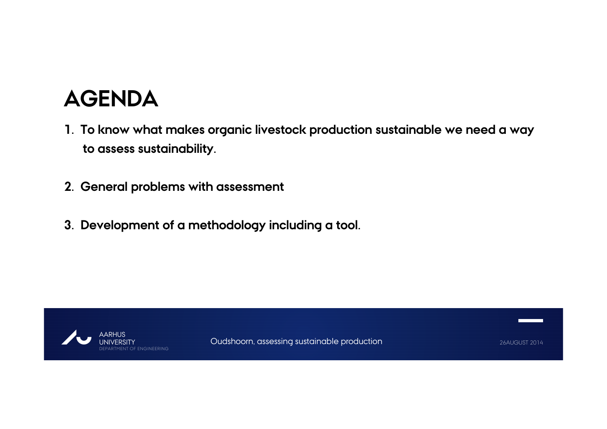### **AGENDA**

- **1. To know what makes organic livestock production sustainable we need a way to assess sustainability.**
- **2. General problems with assessment**
- **3. Development of a methodology including a tool.**

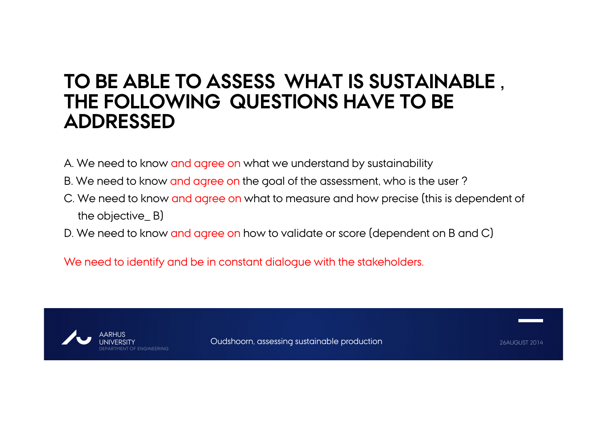### **TO BE ABLE TO ASSESS WHAT IS SUSTAINABLE , THE FOLLOWING QUESTIONS HAVE TO BE ADDRESSED**

- A. We need to know and agree on what we understand by sustainability
- B. We need to know and agree on the goal of the assessment, who is the user ?
- C. We need to know and agree on what to measure and how precise (this is dependent of the objective\_ B)
- D. We need to know and agree on how to validate or score (dependent on B and C)

We need to identify and be in constant dialogue with the stakeholders.

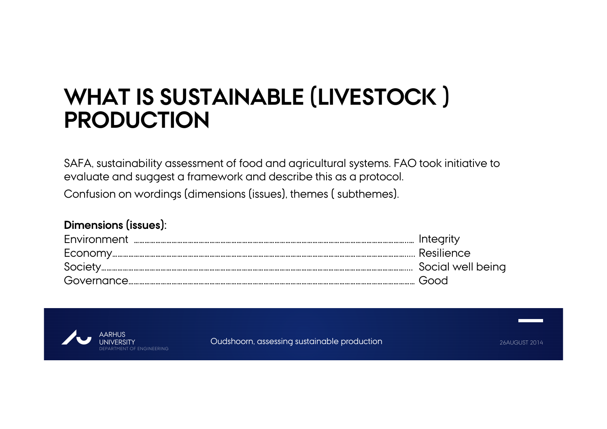## **WHAT IS SUSTAINABLE (LIVESTOCK ) PRODUCTION**

SAFA, sustainability assessment of food and agricultural systems. FAO took initiative to evaluate and suggest a framework and describe this as a protocol. Confusion on wordings (dimensions (issues), themes ( subthemes).

#### **Dimensions (issues):**

| Good) |
|-------|

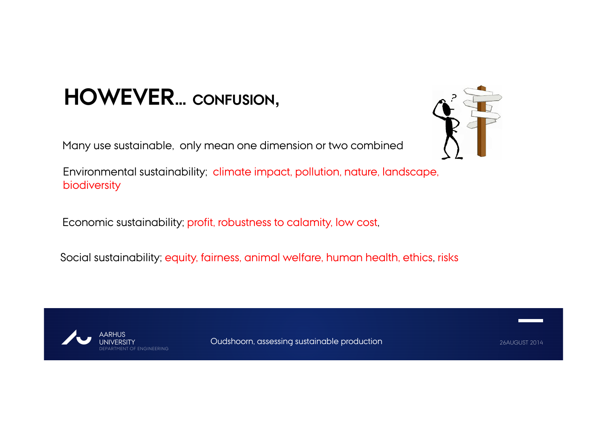## **HOWEVER… CONFUSION,**

Many use sustainable, only mean one dimension or two combined



Environmental sustainability; climate impact, pollution, nature, landscape, biodiversity

Economic sustainability; profit, robustness to calamity, low cost,

Social sustainability; equity, fairness, animal welfare, human health, ethics, risks

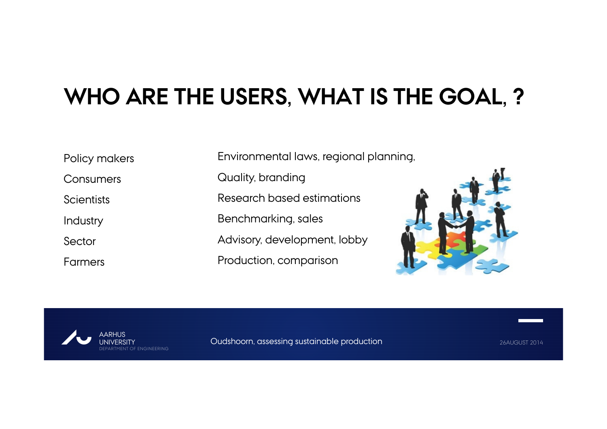# **WHO ARE THE USERS, WHAT IS THE GOAL, ?**

Policy makers

Consumers

**Scientists** 

Industry

Sector

Farmers

Environmental laws, regional planning,

Quality, branding

Research based estimations

Benchmarking, sales

Advisory, development, lobby

Production, comparison



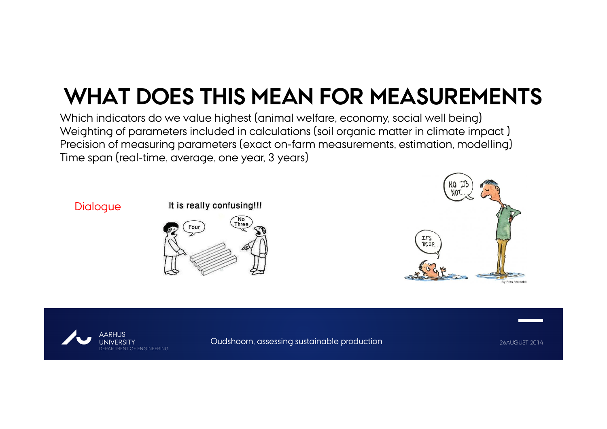# **WHAT DOES THIS MEAN FOR MEASUREMENTS**

Which indicators do we value highest (animal welfare, economy, social well being) Weighting of parameters included in calculations (soil organic matter in climate impact ) Precision of measuring parameters (exact on-farm measurements, estimation, modelling) Time span (real-time, average, one year, 3 years)

#### **Dialogue**

#### It is really confusing!!!





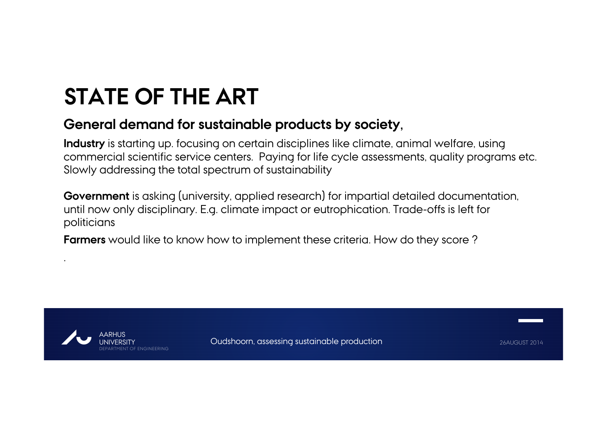# **STATE OF THE ART**

### **General demand for sustainable products by society,**

**Industry** is starting up. focusing on certain disciplines like climate, animal welfare, using commercial scientific service centers. Paying for life cycle assessments, quality programs etc. Slowly addressing the total spectrum of sustainability

**Government** is asking (university, applied research) for impartial detailed documentation, until now only disciplinary. E.g. climate impact or eutrophication. Trade-offs is left for politicians

**Farmers** would like to know how to implement these criteria. How do they score ?



.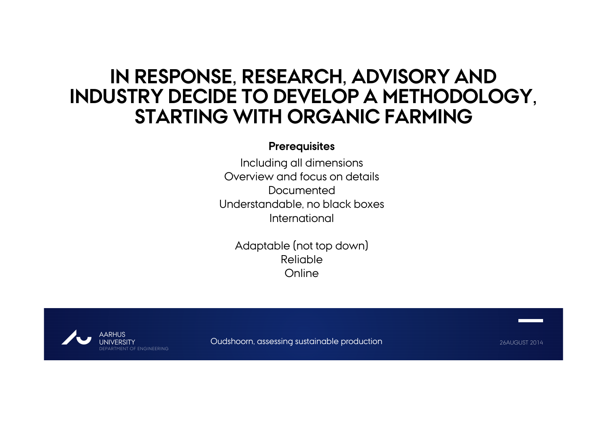### **IN RESPONSE, RESEARCH, ADVISORY AND INDUSTRY DECIDE TO DEVELOP A METHODOLOGY, STARTING WITH ORGANIC FARMING**

#### **Prerequisites**

Including all dimensions Overview and focus on detailsDocumentedUnderstandable, no black boxes International

Adaptable (not top down) Reliable**Online** 

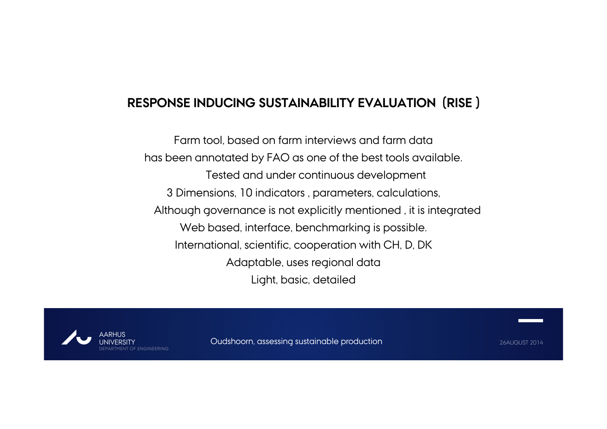### **RESPONSE INDUCING SUSTAINABILITY EVALUATION (RISE )**

Farm tool, based on farm interviews and farm data has been annotated by FAO as one of the best tools available. Tested and under continuous development 3 Dimensions, 10 indicators , parameters, calculations, Although governance is not explicitly mentioned , it is integrated Web based, interface, benchmarking is possible. International, scientific, cooperation with CH, D, DK Adaptable, uses regional data Light, basic, detailed

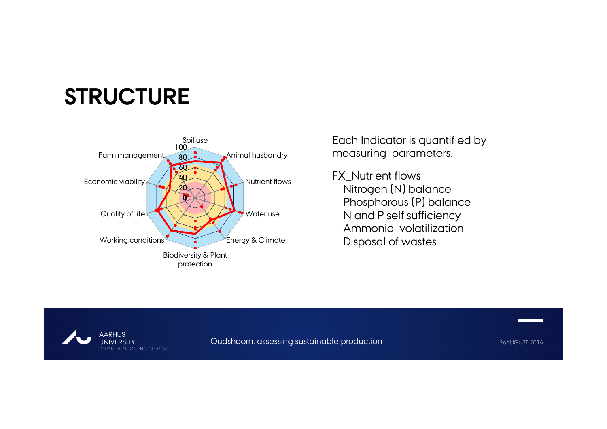## **STRUCTURE**



Each Indicator is quantified by measuring parameters.

FX Nutrient flows Nitrogen (N) balance Phosphorous (P) balance N and P self sufficiency Ammonia volatilizationDisposal of wastes

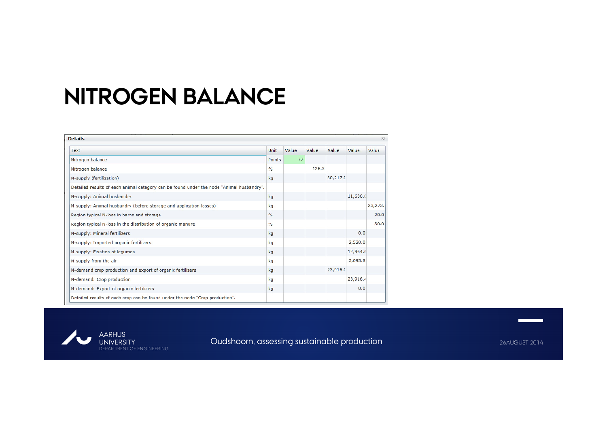### **NITROGEN BALANCE**

| <b>Details</b>                                                                           |               |       |       |          | 23       |         |
|------------------------------------------------------------------------------------------|---------------|-------|-------|----------|----------|---------|
| <b>Text</b>                                                                              | <b>Unit</b>   | Value | Value | Value    | Value    | Value   |
| Nitrogen balance                                                                         | Points        | 77    |       |          |          |         |
| Nitrogen balance                                                                         | $\frac{9}{6}$ |       | 126.3 |          |          |         |
| N-supply (fertilization)                                                                 | kg            |       |       | 30,217.0 |          |         |
| Detailed results of each animal category can be found under the node "Animal husbandry". |               |       |       |          |          |         |
| N-supply: Animal husbandry                                                               | kg            |       |       |          | 11,636.8 |         |
| N-supply: Animal husbandry (before storage and application losses)                       | kg            |       |       |          |          | 23,273. |
| Region typical N-loss in barns and storage                                               | $\frac{9}{6}$ |       |       |          |          | 20.0    |
| Region typical N-loss in the distribution of organic manure                              | $\frac{1}{2}$ |       |       |          |          | 30.0    |
| N-supply: Mineral fertilizers                                                            | kg            |       |       |          | 0.0      |         |
| N-supply: Imported organic fertilizers                                                   | kg            |       |       |          | 2,520.0  |         |
| N-supply: Fixation of legumes                                                            | kg            |       |       |          | 12,964.6 |         |
| N-supply from the air                                                                    | kg            |       |       |          | 3,095.8  |         |
| N-demand crop production and export of organic fertilizers                               | kg            |       |       | 23,916.0 |          |         |
| N-demand: Crop production                                                                | kg            |       |       |          | 23,916.4 |         |
| N-demand: Export of organic fertilizers                                                  | kg            |       |       |          | 0.0      |         |
| Detailed results of each crop can be found under the node "Crop production".             |               |       |       |          |          |         |



Oudshoorn, assessing sustainable production **26AUGUST 2014** 26AUGUST 2014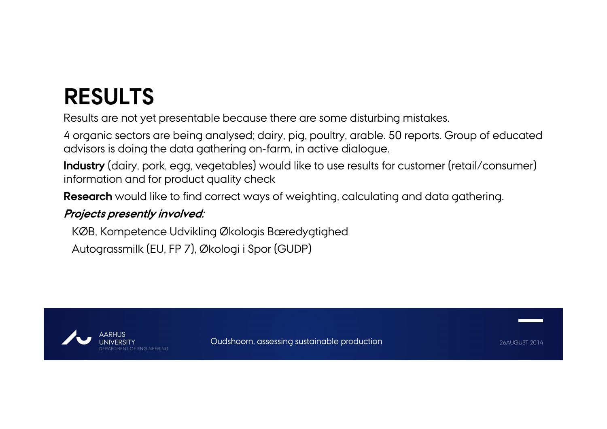# **RESULTS**

Results are not yet presentable because there are some disturbing mistakes.

4 organic sectors are being analysed; dairy, pig, poultry, arable. 50 reports. Group of educated advisors is doing the data gathering on-farm, in active dialogue.

**Industry** (dairy, pork, egg, vegetables) would like to use results for customer (retail/consumer) information and for product quality check

**Research** would like to find correct ways of weighting, calculating and data gathering.

#### **Projects presently involved:**

KØB, Kompetence Udvikling Økologis Bæredygtighed

Autograssmilk (EU, FP 7), Økologi i Spor (GUDP)

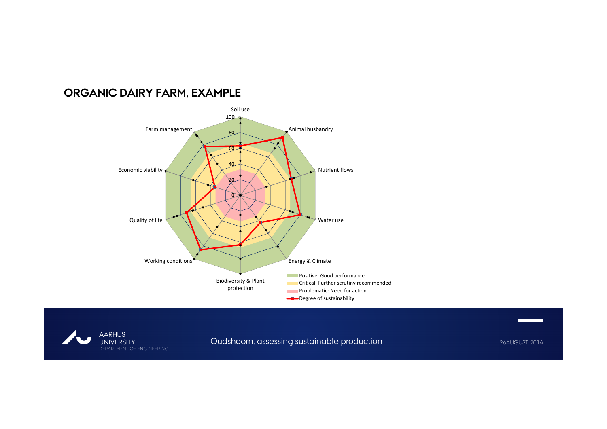#### **ORGANIC DAIRY FARM, EXAMPLE**





Oudshoorn, assessing sustainable production **26AUGUST 2014** 26AUGUST 2014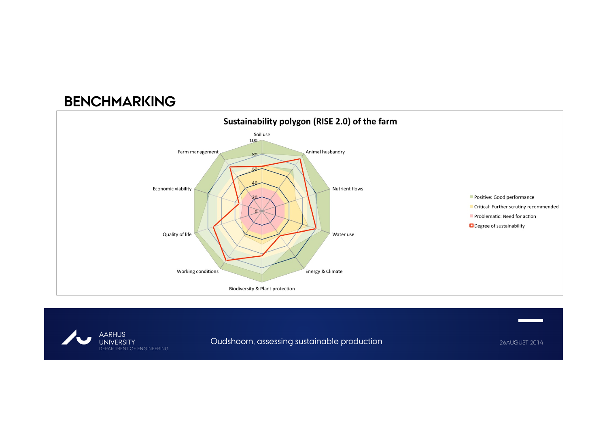### **BENCHMARKING**





Oudshoorn, assessing sustainable production **26AUGUST 2014** 26AUGUST 2014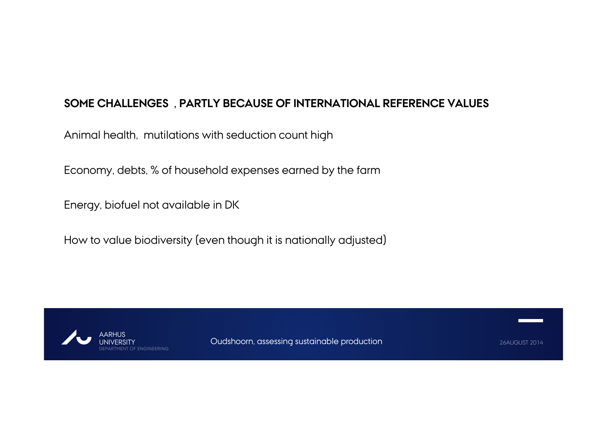#### **SOME CHALLENGES , PARTLY BECAUSE OF INTERNATIONAL REFERENCE VALUES**

Animal health, mutilations with seduction count high

Economy, debts, % of household expenses earned by the farm

Energy, biofuel not available in DK

How to value biodiversity (even though it is nationally adjusted)

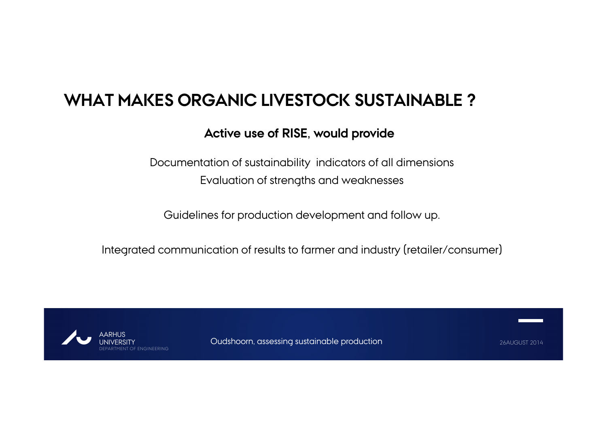### **WHAT MAKES ORGANIC LIVESTOCK SUSTAINABLE ?**

### **Active use of RISE, would provide**

Documentation of sustainability indicators of all dimensions Evaluation of strengths and weaknesses

Guidelines for production development and follow up.

Integrated communication of results to farmer and industry (retailer/consumer)